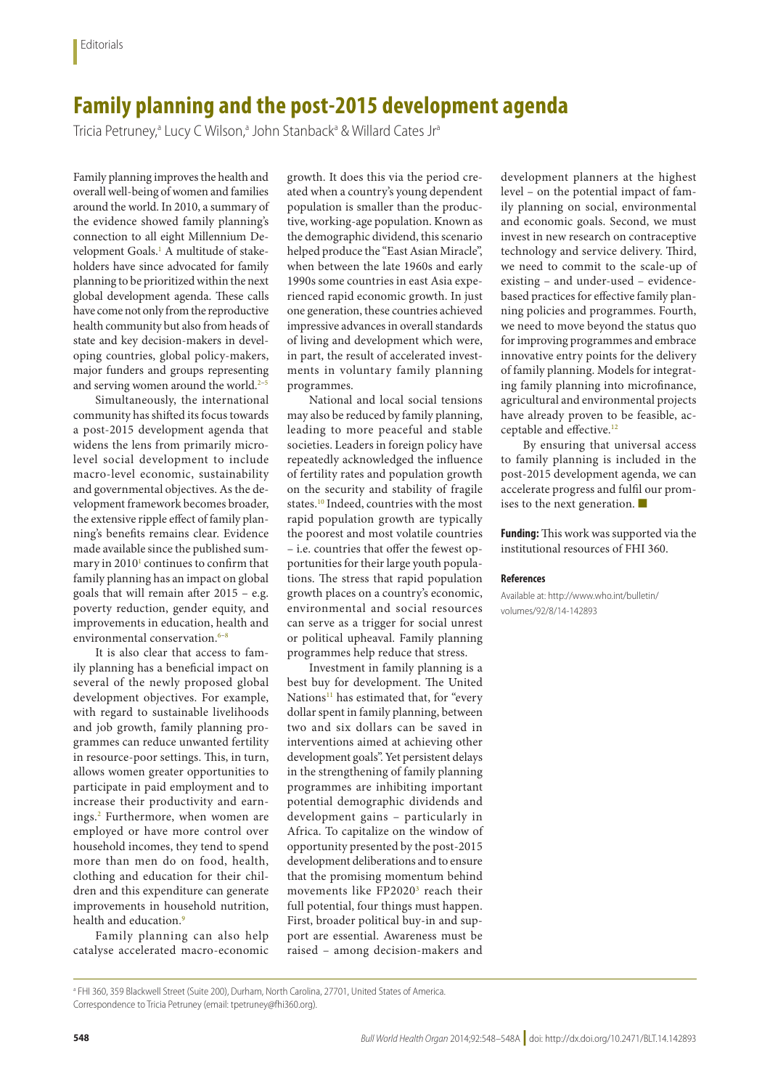## **Family planning and the post-2015 development agenda**

Tricia Petruney,<sup>a</sup> Lucy C Wilson,<sup>a</sup> John Stanback<sup>a</sup> & Willard Cates Jr<sup>a</sup>

Family planning improves the health and overall well-being of women and families around the world. In 2010, a summary of the evidence showed family planning's connection to all eight Millennium Development Goals.<sup>1</sup> A multitude of stakeholders have since advocated for family planning to be prioritized within the next global development agenda. These calls have come not only from the reproductive health community but also from heads of state and key decision-makers in developing countries, global policy-makers, major funders and groups representing and serving women around the world.<sup>2-[5](#page-1-2)</sup>

Simultaneously, the international community has shifted its focus towards a post-2015 development agenda that widens the lens from primarily microlevel social development to include macro-level economic, sustainability and governmental objectives. As the development framework becomes broader, the extensive ripple effect of family planning's benefits remains clear. Evidence made available since the published sum-mary in 20[1](#page-1-0)0<sup>1</sup> continues to confirm that family planning has an impact on global goals that will remain after 2015 – e.g. poverty reduction, gender equity, and improvements in education, health and environmental conservation.<sup>6-[8](#page-1-4)</sup>

It is also clear that access to family planning has a beneficial impact on several of the newly proposed global development objectives. For example, with regard to sustainable livelihoods and job growth, family planning programmes can reduce unwanted fertility in resource-poor settings. This, in turn, allows women greater opportunities to participate in paid employment and to increase their productivity and earnings[.2](#page-1-1) Furthermore, when women are employed or have more control over household incomes, they tend to spend more than men do on food, health, clothing and education for their children and this expenditure can generate improvements in household nutrition, health and education.<sup>[9](#page-1-5)</sup>

Family planning can also help catalyse accelerated macro-economic growth. It does this via the period created when a country's young dependent population is smaller than the productive, working-age population. Known as the demographic dividend, this scenario helped produce the "East Asian Miracle", when between the late 1960s and early 1990s some countries in east Asia experienced rapid economic growth. In just one generation, these countries achieved impressive advances in overall standards of living and development which were, in part, the result of accelerated investments in voluntary family planning programmes.

National and local social tensions may also be reduced by family planning, leading to more peaceful and stable societies. Leaders in foreign policy have repeatedly acknowledged the influence of fertility rates and population growth on the security and stability of fragile states[.10](#page-1-6) Indeed, countries with the most rapid population growth are typically the poorest and most volatile countries – i.e. countries that offer the fewest opportunities for their large youth populations. The stress that rapid population growth places on a country's economic, environmental and social resources can serve as a trigger for social unrest or political upheaval. Family planning programmes help reduce that stress.

Investment in family planning is a best buy for development. The United Nations<sup>11</sup> has estimated that, for "every dollar spent in family planning, between two and six dollars can be saved in interventions aimed at achieving other development goals". Yet persistent delays in the strengthening of family planning programmes are inhibiting important potential demographic dividends and development gains – particularly in Africa. To capitalize on the window of opportunity presented by the post-2015 development deliberations and to ensure that the promising momentum behind movements like FP2020<sup>[3](#page-1-8)</sup> reach their full potential, four things must happen. First, broader political buy-in and support are essential. Awareness must be raised – among decision-makers and

development planners at the highest level – on the potential impact of family planning on social, environmental and economic goals. Second, we must invest in new research on contraceptive technology and service delivery. Third, we need to commit to the scale-up of existing – and under-used – evidencebased practices for effective family planning policies and programmes. Fourth, we need to move beyond the status quo for improving programmes and embrace innovative entry points for the delivery of family planning. Models for integrating family planning into microfinance, agricultural and environmental projects have already proven to be feasible, ac-ceptable and effective.<sup>[12](#page-1-9)</sup>

By ensuring that universal access to family planning is included in the post-2015 development agenda, we can accelerate progress and fulfil our promises to the next generation. ■

**Funding:** This work was supported via the institutional resources of FHI 360.

## **References**

Available at: http://www.who.int/bulletin/ volumes/92/8/14-142893

a FHI 360, 359 Blackwell Street (Suite 200), Durham, North Carolina, 27701, United States of America. Correspondence to Tricia Petruney (email: tpetruney@fhi360.org).